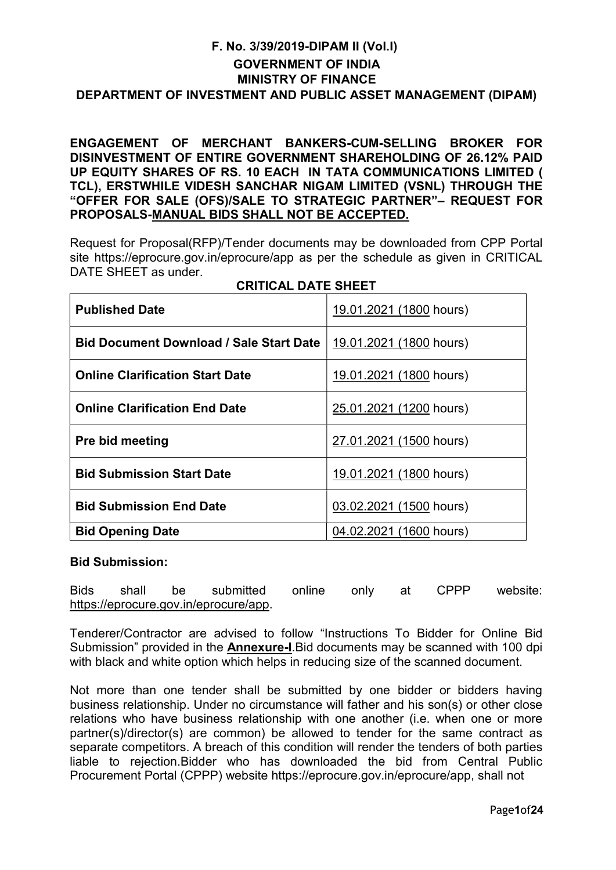## F. No. 3/39/2019-DIPAM II (Vol.I) GOVERNMENT OF INDIA MINISTRY OF FINANCE DEPARTMENT OF INVESTMENT AND PUBLIC ASSET MANAGEMENT (DIPAM)

ENGAGEMENT OF MERCHANT BANKERS-CUM-SELLING BROKER FOR DISINVESTMENT OF ENTIRE GOVERNMENT SHAREHOLDING OF 26.12% PAID UP EQUITY SHARES OF RS. 10 EACH IN TATA COMMUNICATIONS LIMITED ( TCL), ERSTWHILE VIDESH SANCHAR NIGAM LIMITED (VSNL) THROUGH THE "OFFER FOR SALE (OFS)/SALE TO STRATEGIC PARTNER"– REQUEST FOR PROPOSALS-MANUAL BIDS SHALL NOT BE ACCEPTED.

Request for Proposal(RFP)/Tender documents may be downloaded from CPP Portal site https://eprocure.gov.in/eprocure/app as per the schedule as given in CRITICAL DATE SHEET as under.

| <b>Published Date</b>                          | 19.01.2021 (1800 hours) |
|------------------------------------------------|-------------------------|
| <b>Bid Document Download / Sale Start Date</b> | 19.01.2021 (1800 hours) |
| <b>Online Clarification Start Date</b>         | 19.01.2021 (1800 hours) |
| <b>Online Clarification End Date</b>           | 25.01.2021 (1200 hours) |
| <b>Pre bid meeting</b>                         | 27.01.2021 (1500 hours) |
| <b>Bid Submission Start Date</b>               | 19.01.2021 (1800 hours) |
| <b>Bid Submission End Date</b>                 | 03.02.2021 (1500 hours) |
| <b>Bid Opening Date</b>                        | 04.02.2021 (1600 hours) |

## CRITICAL DATE SHEET

#### Bid Submission:

Bids shall be submitted online only at CPPP website: https://eprocure.gov.in/eprocure/app.

Tenderer/Contractor are advised to follow "Instructions To Bidder for Online Bid Submission" provided in the **Annexure-I**. Bid documents may be scanned with 100 dpi with black and white option which helps in reducing size of the scanned document.

Not more than one tender shall be submitted by one bidder or bidders having business relationship. Under no circumstance will father and his son(s) or other close relations who have business relationship with one another (i.e. when one or more partner(s)/director(s) are common) be allowed to tender for the same contract as separate competitors. A breach of this condition will render the tenders of both parties liable to rejection.Bidder who has downloaded the bid from Central Public Procurement Portal (CPPP) website https://eprocure.gov.in/eprocure/app, shall not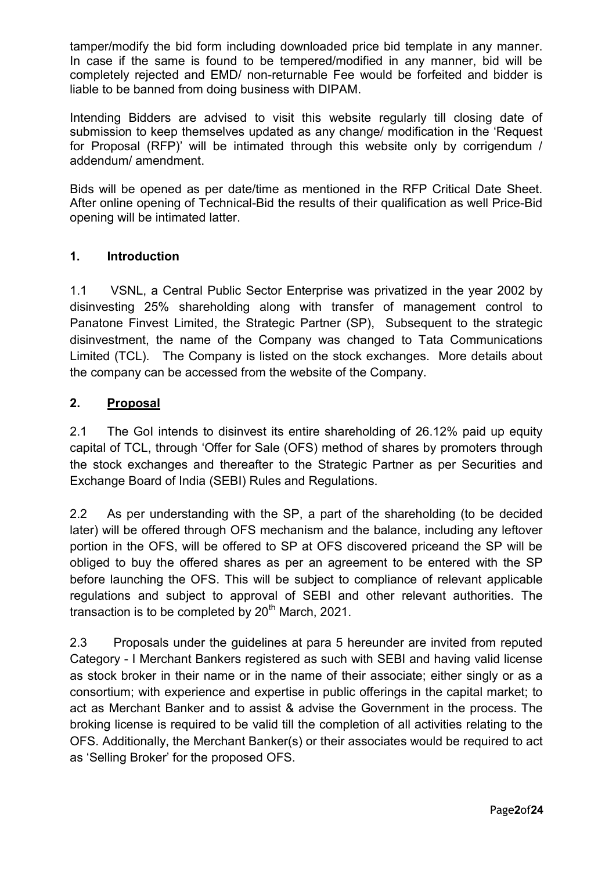tamper/modify the bid form including downloaded price bid template in any manner. In case if the same is found to be tempered/modified in any manner, bid will be completely rejected and EMD/ non-returnable Fee would be forfeited and bidder is liable to be banned from doing business with DIPAM.

Intending Bidders are advised to visit this website regularly till closing date of submission to keep themselves updated as any change/ modification in the 'Request for Proposal (RFP)' will be intimated through this website only by corrigendum / addendum/ amendment.

Bids will be opened as per date/time as mentioned in the RFP Critical Date Sheet. After online opening of Technical-Bid the results of their qualification as well Price-Bid opening will be intimated latter.

## 1. Introduction

1.1 VSNL, a Central Public Sector Enterprise was privatized in the year 2002 by disinvesting 25% shareholding along with transfer of management control to Panatone Finvest Limited, the Strategic Partner (SP), Subsequent to the strategic disinvestment, the name of the Company was changed to Tata Communications Limited (TCL). The Company is listed on the stock exchanges. More details about the company can be accessed from the website of the Company.

## 2. Proposal

2.1 The GoI intends to disinvest its entire shareholding of 26.12% paid up equity capital of TCL, through 'Offer for Sale (OFS) method of shares by promoters through the stock exchanges and thereafter to the Strategic Partner as per Securities and Exchange Board of India (SEBI) Rules and Regulations.

2.2 As per understanding with the SP, a part of the shareholding (to be decided later) will be offered through OFS mechanism and the balance, including any leftover portion in the OFS, will be offered to SP at OFS discovered priceand the SP will be obliged to buy the offered shares as per an agreement to be entered with the SP before launching the OFS. This will be subject to compliance of relevant applicable regulations and subject to approval of SEBI and other relevant authorities. The transaction is to be completed by  $20<sup>th</sup>$  March, 2021.

2.3 Proposals under the guidelines at para 5 hereunder are invited from reputed Category - I Merchant Bankers registered as such with SEBI and having valid license as stock broker in their name or in the name of their associate; either singly or as a consortium; with experience and expertise in public offerings in the capital market; to act as Merchant Banker and to assist & advise the Government in the process. The broking license is required to be valid till the completion of all activities relating to the OFS. Additionally, the Merchant Banker(s) or their associates would be required to act as 'Selling Broker' for the proposed OFS.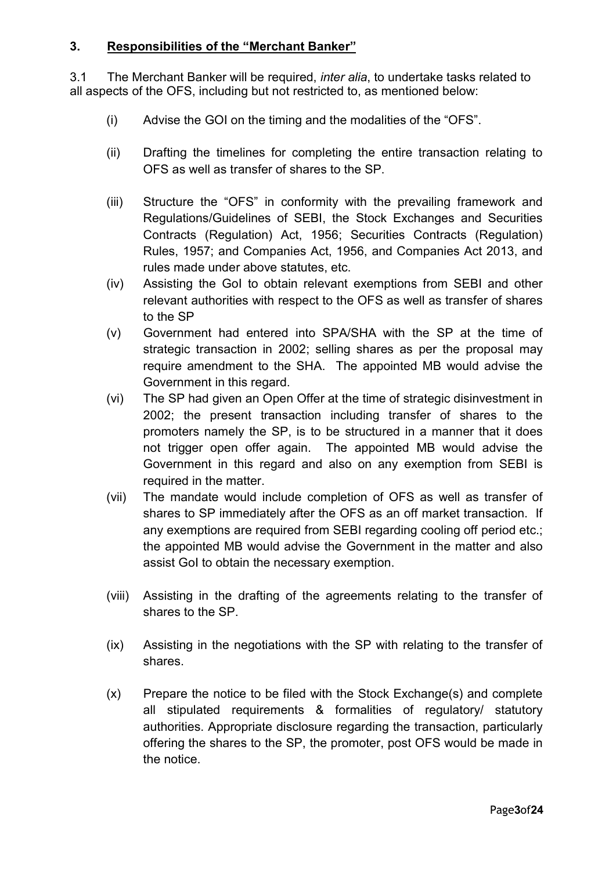## 3. Responsibilities of the "Merchant Banker"

3.1 The Merchant Banker will be required, inter alia, to undertake tasks related to all aspects of the OFS, including but not restricted to, as mentioned below:

- (i) Advise the GOI on the timing and the modalities of the "OFS".
- (ii) Drafting the timelines for completing the entire transaction relating to OFS as well as transfer of shares to the SP.
- (iii) Structure the "OFS" in conformity with the prevailing framework and Regulations/Guidelines of SEBI, the Stock Exchanges and Securities Contracts (Regulation) Act, 1956; Securities Contracts (Regulation) Rules, 1957; and Companies Act, 1956, and Companies Act 2013, and rules made under above statutes, etc.
- (iv) Assisting the GoI to obtain relevant exemptions from SEBI and other relevant authorities with respect to the OFS as well as transfer of shares to the SP
- (v) Government had entered into SPA/SHA with the SP at the time of strategic transaction in 2002; selling shares as per the proposal may require amendment to the SHA. The appointed MB would advise the Government in this regard.
- (vi) The SP had given an Open Offer at the time of strategic disinvestment in 2002; the present transaction including transfer of shares to the promoters namely the SP, is to be structured in a manner that it does not trigger open offer again. The appointed MB would advise the Government in this regard and also on any exemption from SEBI is required in the matter.
- (vii) The mandate would include completion of OFS as well as transfer of shares to SP immediately after the OFS as an off market transaction. If any exemptions are required from SEBI regarding cooling off period etc.; the appointed MB would advise the Government in the matter and also assist GoI to obtain the necessary exemption.
- (viii) Assisting in the drafting of the agreements relating to the transfer of shares to the SP.
- (ix) Assisting in the negotiations with the SP with relating to the transfer of shares.
- (x) Prepare the notice to be filed with the Stock Exchange(s) and complete all stipulated requirements & formalities of regulatory/ statutory authorities. Appropriate disclosure regarding the transaction, particularly offering the shares to the SP, the promoter, post OFS would be made in the notice.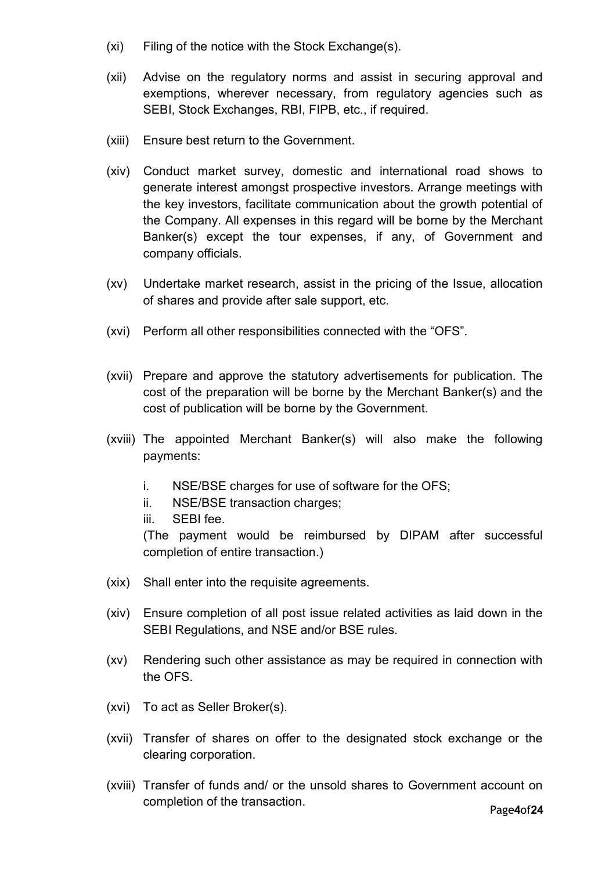- (xi) Filing of the notice with the Stock Exchange(s).
- (xii) Advise on the regulatory norms and assist in securing approval and exemptions, wherever necessary, from regulatory agencies such as SEBI, Stock Exchanges, RBI, FIPB, etc., if required.
- (xiii) Ensure best return to the Government.
- (xiv) Conduct market survey, domestic and international road shows to generate interest amongst prospective investors. Arrange meetings with the key investors, facilitate communication about the growth potential of the Company. All expenses in this regard will be borne by the Merchant Banker(s) except the tour expenses, if any, of Government and company officials.
- (xv) Undertake market research, assist in the pricing of the Issue, allocation of shares and provide after sale support, etc.
- (xvi) Perform all other responsibilities connected with the "OFS".
- (xvii) Prepare and approve the statutory advertisements for publication. The cost of the preparation will be borne by the Merchant Banker(s) and the cost of publication will be borne by the Government.
- (xviii) The appointed Merchant Banker(s) will also make the following payments:
	- i. NSE/BSE charges for use of software for the OFS;
	- ii. NSE/BSE transaction charges;
	- iii. SEBI fee.

(The payment would be reimbursed by DIPAM after successful completion of entire transaction.)

- (xix) Shall enter into the requisite agreements.
- (xiv) Ensure completion of all post issue related activities as laid down in the SEBI Regulations, and NSE and/or BSE rules.
- (xv) Rendering such other assistance as may be required in connection with the OFS.
- (xvi) To act as Seller Broker(s).
- (xvii) Transfer of shares on offer to the designated stock exchange or the clearing corporation.
- (xviii) Transfer of funds and/ or the unsold shares to Government account on completion of the transaction.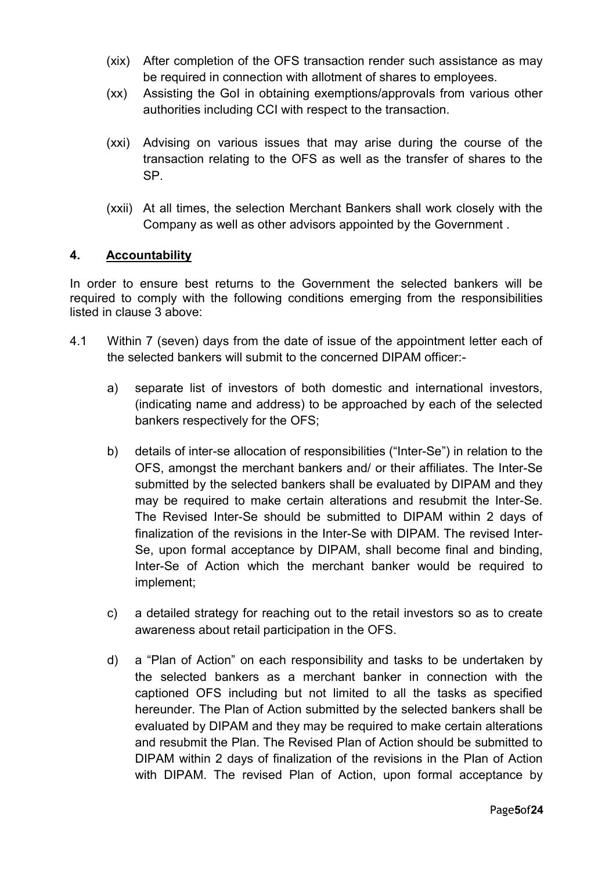- (xix) After completion of the OFS transaction render such assistance as may be required in connection with allotment of shares to employees.
- (xx) Assisting the GoI in obtaining exemptions/approvals from various other authorities including CCI with respect to the transaction.
- (xxi) Advising on various issues that may arise during the course of the transaction relating to the OFS as well as the transfer of shares to the SP.
- (xxii) At all times, the selection Merchant Bankers shall work closely with the Company as well as other advisors appointed by the Government .

## 4. Accountability

In order to ensure best returns to the Government the selected bankers will be required to comply with the following conditions emerging from the responsibilities listed in clause 3 above:

- 4.1 Within 7 (seven) days from the date of issue of the appointment letter each of the selected bankers will submit to the concerned DIPAM officer:
	- a) separate list of investors of both domestic and international investors, (indicating name and address) to be approached by each of the selected bankers respectively for the OFS;
	- b) details of inter-se allocation of responsibilities ("Inter-Se") in relation to the OFS, amongst the merchant bankers and/ or their affiliates. The Inter-Se submitted by the selected bankers shall be evaluated by DIPAM and they may be required to make certain alterations and resubmit the Inter-Se. The Revised Inter-Se should be submitted to DIPAM within 2 days of finalization of the revisions in the Inter-Se with DIPAM. The revised Inter-Se, upon formal acceptance by DIPAM, shall become final and binding, Inter-Se of Action which the merchant banker would be required to implement;
	- c) a detailed strategy for reaching out to the retail investors so as to create awareness about retail participation in the OFS.
	- d) a "Plan of Action" on each responsibility and tasks to be undertaken by the selected bankers as a merchant banker in connection with the captioned OFS including but not limited to all the tasks as specified hereunder. The Plan of Action submitted by the selected bankers shall be evaluated by DIPAM and they may be required to make certain alterations and resubmit the Plan. The Revised Plan of Action should be submitted to DIPAM within 2 days of finalization of the revisions in the Plan of Action with DIPAM. The revised Plan of Action, upon formal acceptance by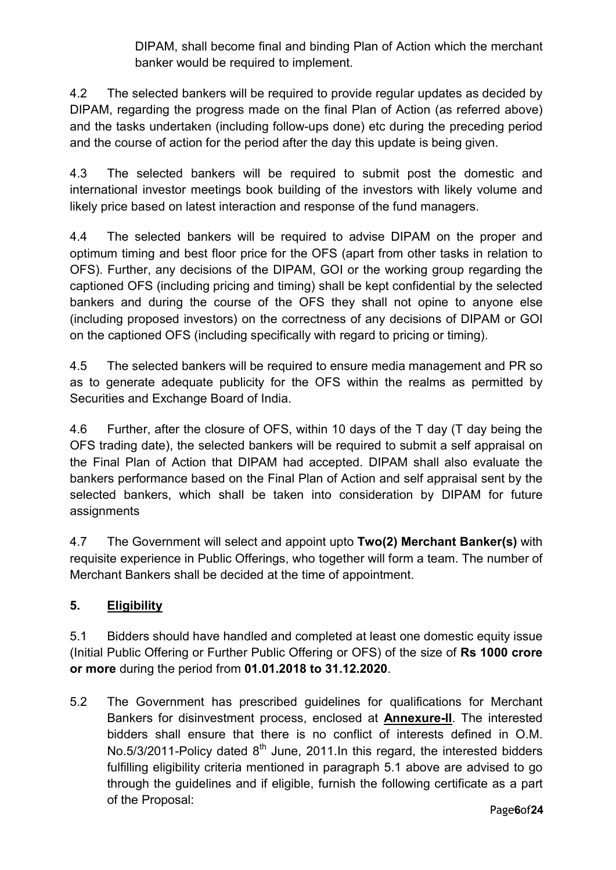DIPAM, shall become final and binding Plan of Action which the merchant banker would be required to implement.

4.2 The selected bankers will be required to provide regular updates as decided by DIPAM, regarding the progress made on the final Plan of Action (as referred above) and the tasks undertaken (including follow-ups done) etc during the preceding period and the course of action for the period after the day this update is being given.

4.3 The selected bankers will be required to submit post the domestic and international investor meetings book building of the investors with likely volume and likely price based on latest interaction and response of the fund managers.

4.4 The selected bankers will be required to advise DIPAM on the proper and optimum timing and best floor price for the OFS (apart from other tasks in relation to OFS). Further, any decisions of the DIPAM, GOI or the working group regarding the captioned OFS (including pricing and timing) shall be kept confidential by the selected bankers and during the course of the OFS they shall not opine to anyone else (including proposed investors) on the correctness of any decisions of DIPAM or GOI on the captioned OFS (including specifically with regard to pricing or timing).

4.5 The selected bankers will be required to ensure media management and PR so as to generate adequate publicity for the OFS within the realms as permitted by Securities and Exchange Board of India.

4.6 Further, after the closure of OFS, within 10 days of the T day (T day being the OFS trading date), the selected bankers will be required to submit a self appraisal on the Final Plan of Action that DIPAM had accepted. DIPAM shall also evaluate the bankers performance based on the Final Plan of Action and self appraisal sent by the selected bankers, which shall be taken into consideration by DIPAM for future assignments

4.7 The Government will select and appoint upto Two(2) Merchant Banker(s) with requisite experience in Public Offerings, who together will form a team. The number of Merchant Bankers shall be decided at the time of appointment.

# 5. Eligibility

5.1 Bidders should have handled and completed at least one domestic equity issue (Initial Public Offering or Further Public Offering or OFS) of the size of Rs 1000 crore or more during the period from 01.01.2018 to 31.12.2020.

5.2 The Government has prescribed guidelines for qualifications for Merchant Bankers for disinvestment process, enclosed at Annexure-II. The interested bidders shall ensure that there is no conflict of interests defined in O.M. No.5/3/2011-Policy dated  $8<sup>th</sup>$  June, 2011. In this regard, the interested bidders fulfilling eligibility criteria mentioned in paragraph 5.1 above are advised to go through the guidelines and if eligible, furnish the following certificate as a part of the Proposal: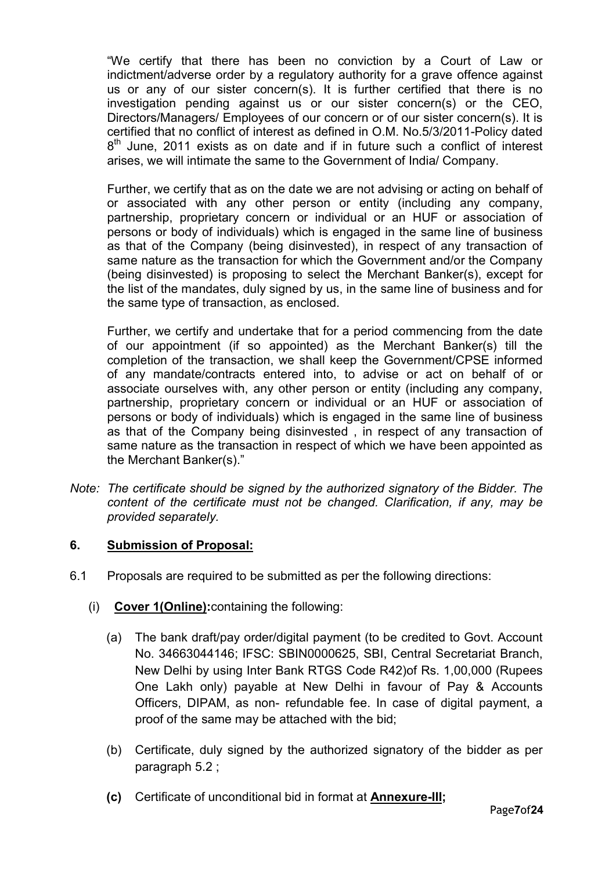"We certify that there has been no conviction by a Court of Law or indictment/adverse order by a regulatory authority for a grave offence against us or any of our sister concern(s). It is further certified that there is no investigation pending against us or our sister concern(s) or the CEO, Directors/Managers/ Employees of our concern or of our sister concern(s). It is certified that no conflict of interest as defined in O.M. No.5/3/2011-Policy dated  $8<sup>th</sup>$  June, 2011 exists as on date and if in future such a conflict of interest arises, we will intimate the same to the Government of India/ Company.

Further, we certify that as on the date we are not advising or acting on behalf of or associated with any other person or entity (including any company, partnership, proprietary concern or individual or an HUF or association of persons or body of individuals) which is engaged in the same line of business as that of the Company (being disinvested), in respect of any transaction of same nature as the transaction for which the Government and/or the Company (being disinvested) is proposing to select the Merchant Banker(s), except for the list of the mandates, duly signed by us, in the same line of business and for the same type of transaction, as enclosed.

Further, we certify and undertake that for a period commencing from the date of our appointment (if so appointed) as the Merchant Banker(s) till the completion of the transaction, we shall keep the Government/CPSE informed of any mandate/contracts entered into, to advise or act on behalf of or associate ourselves with, any other person or entity (including any company, partnership, proprietary concern or individual or an HUF or association of persons or body of individuals) which is engaged in the same line of business as that of the Company being disinvested , in respect of any transaction of same nature as the transaction in respect of which we have been appointed as the Merchant Banker(s)."

Note: The certificate should be signed by the authorized signatory of the Bidder. The content of the certificate must not be changed. Clarification, if any, may be provided separately.

## 6. Submission of Proposal:

- 6.1 Proposals are required to be submitted as per the following directions:
	- (i) Cover 1(Online):containing the following:
		- (a) The bank draft/pay order/digital payment (to be credited to Govt. Account No. 34663044146; IFSC: SBIN0000625, SBI, Central Secretariat Branch, New Delhi by using Inter Bank RTGS Code R42)of Rs. 1,00,000 (Rupees One Lakh only) payable at New Delhi in favour of Pay & Accounts Officers, DIPAM, as non- refundable fee. In case of digital payment, a proof of the same may be attached with the bid;
		- (b) Certificate, duly signed by the authorized signatory of the bidder as per paragraph 5.2 ;
		- (c) Certificate of unconditional bid in format at Annexure-III;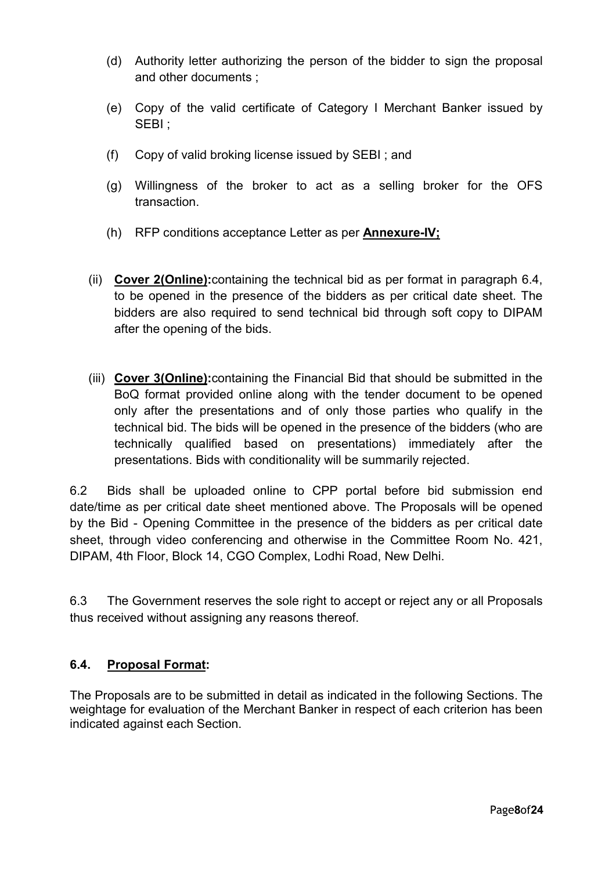- (d) Authority letter authorizing the person of the bidder to sign the proposal and other documents ;
- (e) Copy of the valid certificate of Category I Merchant Banker issued by SEBI ;
- (f) Copy of valid broking license issued by SEBI ; and
- (g) Willingness of the broker to act as a selling broker for the OFS transaction.
- (h) RFP conditions acceptance Letter as per Annexure-IV;
- (ii) Cover 2(Online):containing the technical bid as per format in paragraph 6.4, to be opened in the presence of the bidders as per critical date sheet. The bidders are also required to send technical bid through soft copy to DIPAM after the opening of the bids.
- (iii) Cover 3(Online):containing the Financial Bid that should be submitted in the BoQ format provided online along with the tender document to be opened only after the presentations and of only those parties who qualify in the technical bid. The bids will be opened in the presence of the bidders (who are technically qualified based on presentations) immediately after the presentations. Bids with conditionality will be summarily rejected.

6.2 Bids shall be uploaded online to CPP portal before bid submission end date/time as per critical date sheet mentioned above. The Proposals will be opened by the Bid - Opening Committee in the presence of the bidders as per critical date sheet, through video conferencing and otherwise in the Committee Room No. 421, DIPAM, 4th Floor, Block 14, CGO Complex, Lodhi Road, New Delhi.

6.3 The Government reserves the sole right to accept or reject any or all Proposals thus received without assigning any reasons thereof.

## 6.4. Proposal Format:

The Proposals are to be submitted in detail as indicated in the following Sections. The weightage for evaluation of the Merchant Banker in respect of each criterion has been indicated against each Section.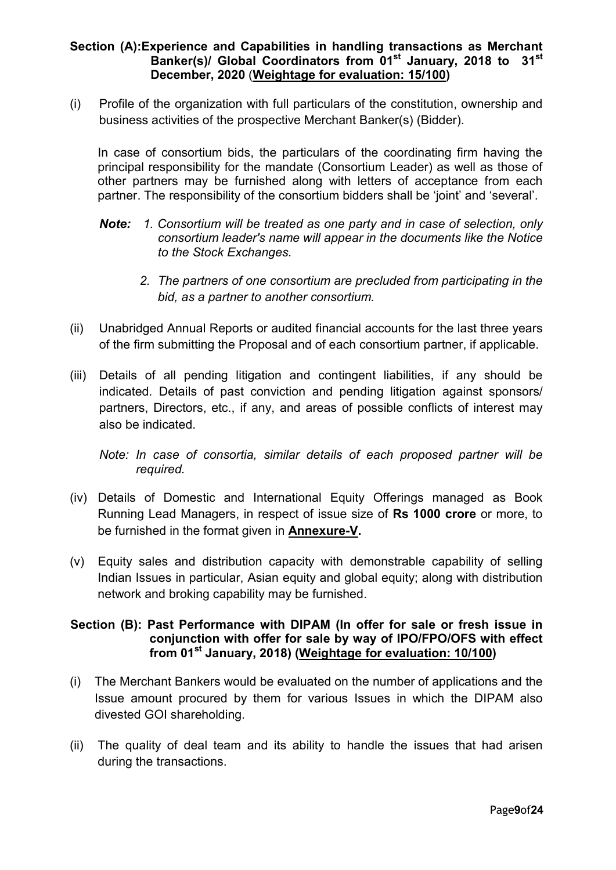## Section (A):Experience and Capabilities in handling transactions as Merchant Banker(s)/ Global Coordinators from 01<sup>st</sup> January, 2018 to 31<sup>st</sup> December, 2020 (Weightage for evaluation: 15/100)

(i) Profile of the organization with full particulars of the constitution, ownership and business activities of the prospective Merchant Banker(s) (Bidder).

In case of consortium bids, the particulars of the coordinating firm having the principal responsibility for the mandate (Consortium Leader) as well as those of other partners may be furnished along with letters of acceptance from each partner. The responsibility of the consortium bidders shall be 'joint' and 'several'.

- Note: 1. Consortium will be treated as one party and in case of selection, only consortium leader's name will appear in the documents like the Notice to the Stock Exchanges.
	- 2. The partners of one consortium are precluded from participating in the bid, as a partner to another consortium.
- (ii) Unabridged Annual Reports or audited financial accounts for the last three years of the firm submitting the Proposal and of each consortium partner, if applicable.
- (iii) Details of all pending litigation and contingent liabilities, if any should be indicated. Details of past conviction and pending litigation against sponsors/ partners, Directors, etc., if any, and areas of possible conflicts of interest may also be indicated.

Note: In case of consortia, similar details of each proposed partner will be required.

- (iv) Details of Domestic and International Equity Offerings managed as Book Running Lead Managers, in respect of issue size of Rs 1000 crore or more, to be furnished in the format given in Annexure-V.
- (v) Equity sales and distribution capacity with demonstrable capability of selling Indian Issues in particular, Asian equity and global equity; along with distribution network and broking capability may be furnished.

## Section (B): Past Performance with DIPAM (In offer for sale or fresh issue in conjunction with offer for sale by way of IPO/FPO/OFS with effect from 01st January, 2018) (Weightage for evaluation: 10/100)

- (i) The Merchant Bankers would be evaluated on the number of applications and the Issue amount procured by them for various Issues in which the DIPAM also divested GOI shareholding.
- (ii) The quality of deal team and its ability to handle the issues that had arisen during the transactions.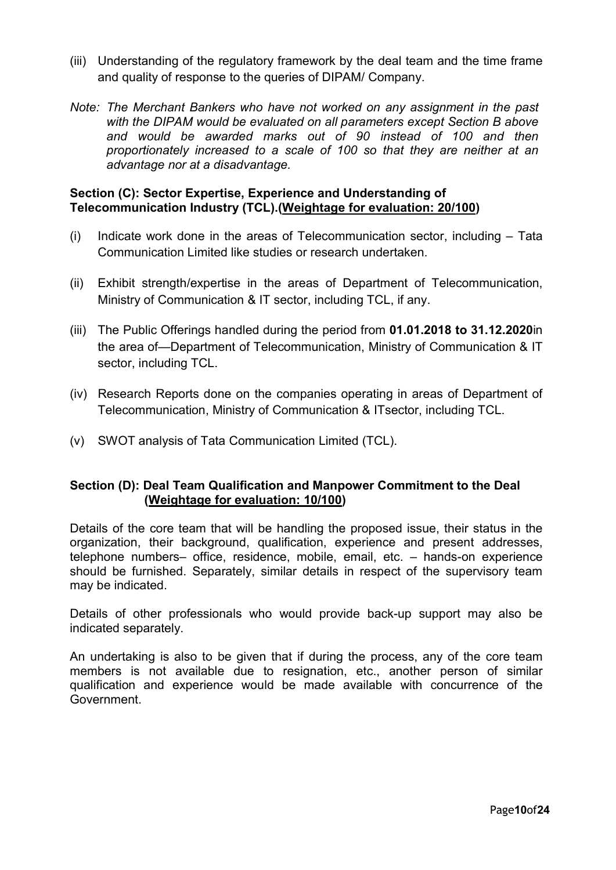- (iii) Understanding of the regulatory framework by the deal team and the time frame and quality of response to the queries of DIPAM/ Company.
- Note: The Merchant Bankers who have not worked on any assignment in the past with the DIPAM would be evaluated on all parameters except Section B above and would be awarded marks out of 90 instead of 100 and then proportionately increased to a scale of 100 so that they are neither at an advantage nor at a disadvantage.

## Section (C): Sector Expertise, Experience and Understanding of Telecommunication Industry (TCL).(Weightage for evaluation: 20/100)

- (i) Indicate work done in the areas of Telecommunication sector, including Tata Communication Limited like studies or research undertaken.
- (ii) Exhibit strength/expertise in the areas of Department of Telecommunication, Ministry of Communication & IT sector, including TCL, if any.
- (iii) The Public Offerings handled during the period from 01.01.2018 to 31.12.2020in the area of—Department of Telecommunication, Ministry of Communication & IT sector, including TCL.
- (iv) Research Reports done on the companies operating in areas of Department of Telecommunication, Ministry of Communication & ITsector, including TCL.
- (v) SWOT analysis of Tata Communication Limited (TCL).

## Section (D): Deal Team Qualification and Manpower Commitment to the Deal (Weightage for evaluation: 10/100)

Details of the core team that will be handling the proposed issue, their status in the organization, their background, qualification, experience and present addresses, telephone numbers– office, residence, mobile, email, etc. – hands-on experience should be furnished. Separately, similar details in respect of the supervisory team may be indicated.

Details of other professionals who would provide back-up support may also be indicated separately.

An undertaking is also to be given that if during the process, any of the core team members is not available due to resignation, etc., another person of similar qualification and experience would be made available with concurrence of the Government.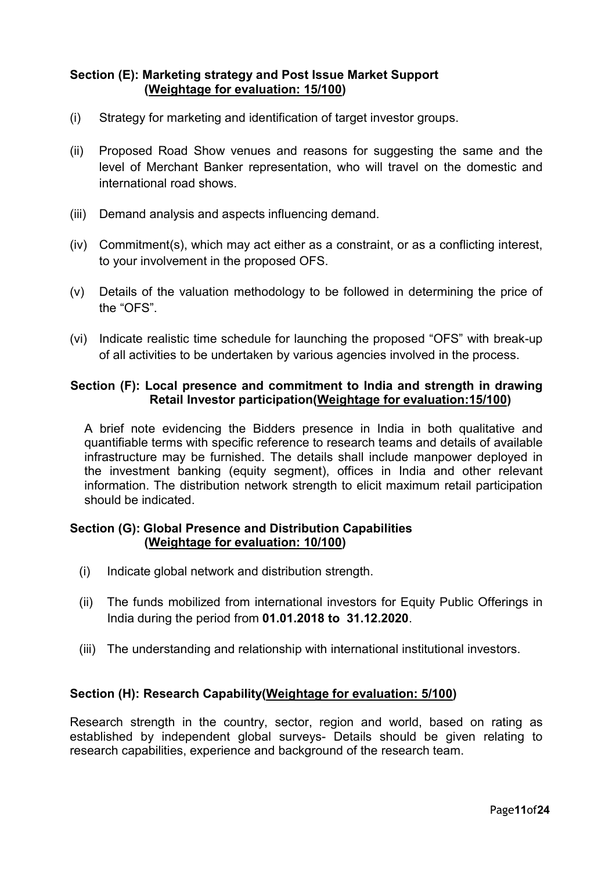## Section (E): Marketing strategy and Post Issue Market Support (Weightage for evaluation: 15/100)

- (i) Strategy for marketing and identification of target investor groups.
- (ii) Proposed Road Show venues and reasons for suggesting the same and the level of Merchant Banker representation, who will travel on the domestic and international road shows.
- (iii) Demand analysis and aspects influencing demand.
- (iv) Commitment(s), which may act either as a constraint, or as a conflicting interest, to your involvement in the proposed OFS.
- (v) Details of the valuation methodology to be followed in determining the price of the "OFS".
- (vi) Indicate realistic time schedule for launching the proposed "OFS" with break-up of all activities to be undertaken by various agencies involved in the process.

## Section (F): Local presence and commitment to India and strength in drawing Retail Investor participation(Weightage for evaluation:15/100)

A brief note evidencing the Bidders presence in India in both qualitative and quantifiable terms with specific reference to research teams and details of available infrastructure may be furnished. The details shall include manpower deployed in the investment banking (equity segment), offices in India and other relevant information. The distribution network strength to elicit maximum retail participation should be indicated.

#### Section (G): Global Presence and Distribution Capabilities (Weightage for evaluation: 10/100)

- (i) Indicate global network and distribution strength.
- (ii) The funds mobilized from international investors for Equity Public Offerings in India during the period from 01.01.2018 to 31.12.2020.
- (iii) The understanding and relationship with international institutional investors.

## Section (H): Research Capability(Weightage for evaluation: 5/100)

Research strength in the country, sector, region and world, based on rating as established by independent global surveys- Details should be given relating to research capabilities, experience and background of the research team.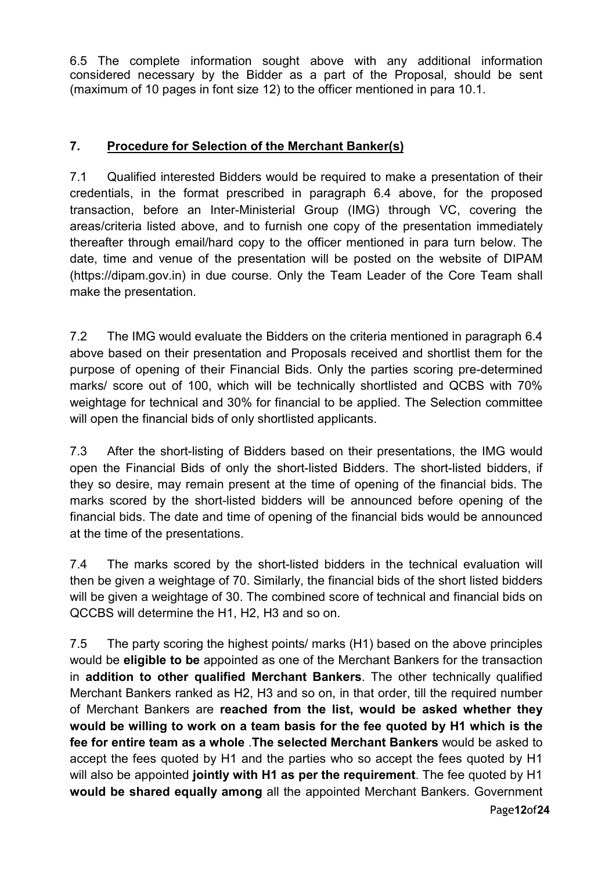6.5 The complete information sought above with any additional information considered necessary by the Bidder as a part of the Proposal, should be sent (maximum of 10 pages in font size 12) to the officer mentioned in para 10.1.

## 7. Procedure for Selection of the Merchant Banker(s)

7.1 Qualified interested Bidders would be required to make a presentation of their credentials, in the format prescribed in paragraph 6.4 above, for the proposed transaction, before an Inter-Ministerial Group (IMG) through VC, covering the areas/criteria listed above, and to furnish one copy of the presentation immediately thereafter through email/hard copy to the officer mentioned in para turn below. The date, time and venue of the presentation will be posted on the website of DIPAM (https://dipam.gov.in) in due course. Only the Team Leader of the Core Team shall make the presentation.

7.2 The IMG would evaluate the Bidders on the criteria mentioned in paragraph 6.4 above based on their presentation and Proposals received and shortlist them for the purpose of opening of their Financial Bids. Only the parties scoring pre-determined marks/ score out of 100, which will be technically shortlisted and QCBS with 70% weightage for technical and 30% for financial to be applied. The Selection committee will open the financial bids of only shortlisted applicants.

7.3 After the short-listing of Bidders based on their presentations, the IMG would open the Financial Bids of only the short-listed Bidders. The short-listed bidders, if they so desire, may remain present at the time of opening of the financial bids. The marks scored by the short-listed bidders will be announced before opening of the financial bids. The date and time of opening of the financial bids would be announced at the time of the presentations.

7.4 The marks scored by the short-listed bidders in the technical evaluation will then be given a weightage of 70. Similarly, the financial bids of the short listed bidders will be given a weightage of 30. The combined score of technical and financial bids on QCCBS will determine the H1, H2, H3 and so on.

7.5 The party scoring the highest points/ marks (H1) based on the above principles would be eligible to be appointed as one of the Merchant Bankers for the transaction in addition to other qualified Merchant Bankers. The other technically qualified Merchant Bankers ranked as H2, H3 and so on, in that order, till the required number of Merchant Bankers are reached from the list, would be asked whether they would be willing to work on a team basis for the fee quoted by H1 which is the fee for entire team as a whole .The selected Merchant Bankers would be asked to accept the fees quoted by H1 and the parties who so accept the fees quoted by H1 will also be appointed jointly with H1 as per the requirement. The fee quoted by H1 would be shared equally among all the appointed Merchant Bankers. Government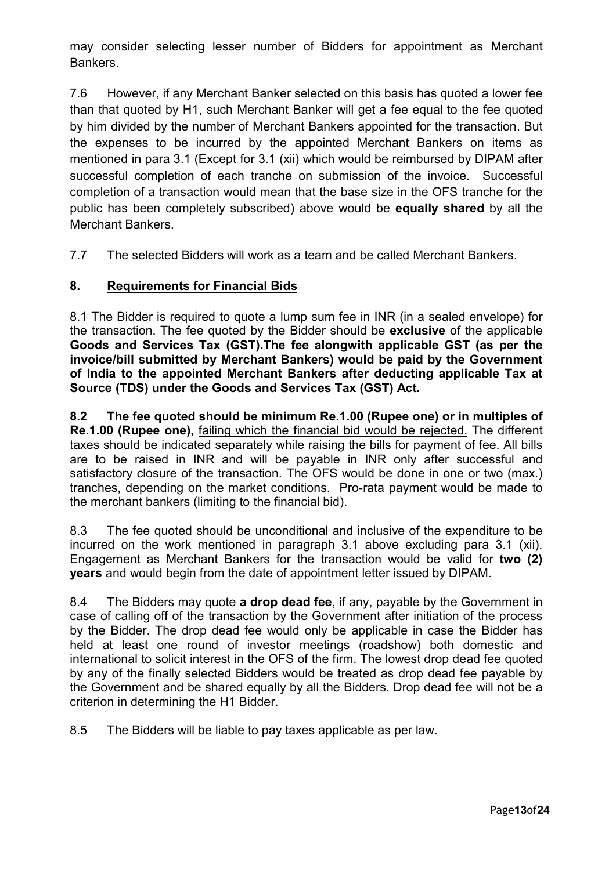may consider selecting lesser number of Bidders for appointment as Merchant Bankers.

7.6 However, if any Merchant Banker selected on this basis has quoted a lower fee than that quoted by H1, such Merchant Banker will get a fee equal to the fee quoted by him divided by the number of Merchant Bankers appointed for the transaction. But the expenses to be incurred by the appointed Merchant Bankers on items as mentioned in para 3.1 (Except for 3.1 (xii) which would be reimbursed by DIPAM after successful completion of each tranche on submission of the invoice. Successful completion of a transaction would mean that the base size in the OFS tranche for the public has been completely subscribed) above would be **equally shared** by all the Merchant Bankers.

7.7 The selected Bidders will work as a team and be called Merchant Bankers.

## 8. Requirements for Financial Bids

8.1 The Bidder is required to quote a lump sum fee in INR (in a sealed envelope) for the transaction. The fee quoted by the Bidder should be exclusive of the applicable Goods and Services Tax (GST).The fee alongwith applicable GST (as per the invoice/bill submitted by Merchant Bankers) would be paid by the Government of India to the appointed Merchant Bankers after deducting applicable Tax at Source (TDS) under the Goods and Services Tax (GST) Act.

8.2 The fee quoted should be minimum Re.1.00 (Rupee one) or in multiples of Re.1.00 (Rupee one), failing which the financial bid would be rejected. The different taxes should be indicated separately while raising the bills for payment of fee. All bills are to be raised in INR and will be payable in INR only after successful and satisfactory closure of the transaction. The OFS would be done in one or two (max.) tranches, depending on the market conditions. Pro-rata payment would be made to the merchant bankers (limiting to the financial bid).

8.3 The fee quoted should be unconditional and inclusive of the expenditure to be incurred on the work mentioned in paragraph 3.1 above excluding para 3.1 (xii). Engagement as Merchant Bankers for the transaction would be valid for two (2) years and would begin from the date of appointment letter issued by DIPAM.

8.4 The Bidders may quote **a drop dead fee**, if any, payable by the Government in case of calling off of the transaction by the Government after initiation of the process by the Bidder. The drop dead fee would only be applicable in case the Bidder has held at least one round of investor meetings (roadshow) both domestic and international to solicit interest in the OFS of the firm. The lowest drop dead fee quoted by any of the finally selected Bidders would be treated as drop dead fee payable by the Government and be shared equally by all the Bidders. Drop dead fee will not be a criterion in determining the H1 Bidder.

8.5 The Bidders will be liable to pay taxes applicable as per law.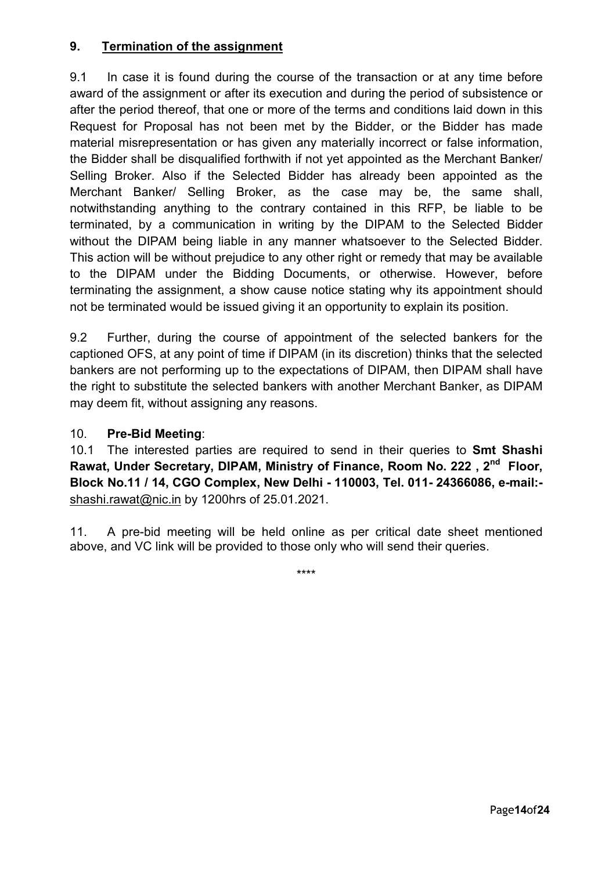## 9. Termination of the assignment

9.1 In case it is found during the course of the transaction or at any time before award of the assignment or after its execution and during the period of subsistence or after the period thereof, that one or more of the terms and conditions laid down in this Request for Proposal has not been met by the Bidder, or the Bidder has made material misrepresentation or has given any materially incorrect or false information, the Bidder shall be disqualified forthwith if not yet appointed as the Merchant Banker/ Selling Broker. Also if the Selected Bidder has already been appointed as the Merchant Banker/ Selling Broker, as the case may be, the same shall, notwithstanding anything to the contrary contained in this RFP, be liable to be terminated, by a communication in writing by the DIPAM to the Selected Bidder without the DIPAM being liable in any manner whatsoever to the Selected Bidder. This action will be without prejudice to any other right or remedy that may be available to the DIPAM under the Bidding Documents, or otherwise. However, before terminating the assignment, a show cause notice stating why its appointment should not be terminated would be issued giving it an opportunity to explain its position.

9.2 Further, during the course of appointment of the selected bankers for the captioned OFS, at any point of time if DIPAM (in its discretion) thinks that the selected bankers are not performing up to the expectations of DIPAM, then DIPAM shall have the right to substitute the selected bankers with another Merchant Banker, as DIPAM may deem fit, without assigning any reasons.

## 10. Pre-Bid Meeting:

10.1 The interested parties are required to send in their queries to **Smt Shashi** Rawat, Under Secretary, DIPAM, Ministry of Finance, Room No. 222, 2<sup>nd</sup> Floor, Block No.11 / 14, CGO Complex, New Delhi - 110003, Tel. 011- 24366086, e-mail: shashi.rawat@nic.in by 1200hrs of 25.01.2021.

11. A pre-bid meeting will be held online as per critical date sheet mentioned above, and VC link will be provided to those only who will send their queries.

\*\*\*\*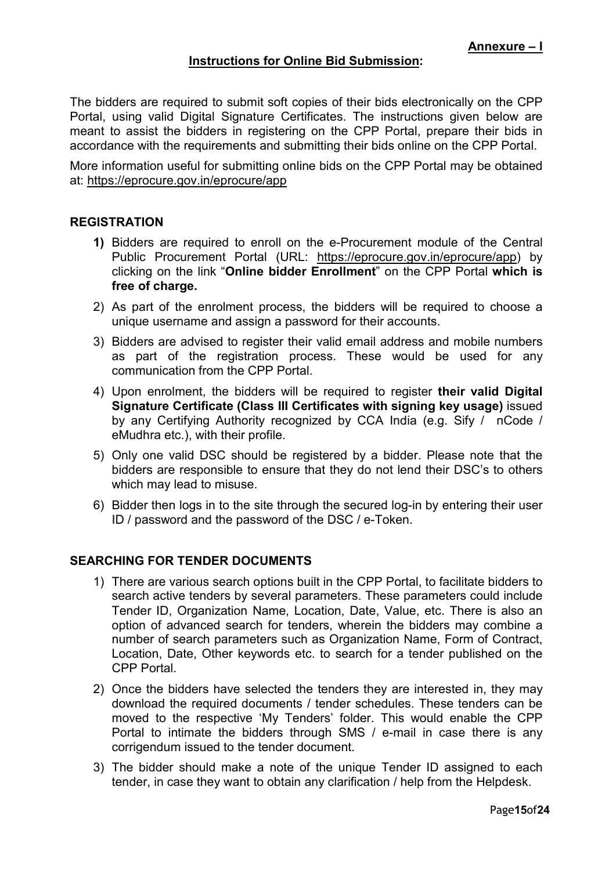## Instructions for Online Bid Submission:

The bidders are required to submit soft copies of their bids electronically on the CPP Portal, using valid Digital Signature Certificates. The instructions given below are meant to assist the bidders in registering on the CPP Portal, prepare their bids in accordance with the requirements and submitting their bids online on the CPP Portal.

More information useful for submitting online bids on the CPP Portal may be obtained at: https://eprocure.gov.in/eprocure/app

#### **REGISTRATION**

- 1) Bidders are required to enroll on the e-Procurement module of the Central Public Procurement Portal (URL: https://eprocure.gov.in/eprocure/app) by clicking on the link "Online bidder Enrollment" on the CPP Portal which is free of charge.
- 2) As part of the enrolment process, the bidders will be required to choose a unique username and assign a password for their accounts.
- 3) Bidders are advised to register their valid email address and mobile numbers as part of the registration process. These would be used for any communication from the CPP Portal.
- 4) Upon enrolment, the bidders will be required to register their valid Digital Signature Certificate (Class III Certificates with signing key usage) issued by any Certifying Authority recognized by CCA India (e.g. Sify / nCode / eMudhra etc.), with their profile.
- 5) Only one valid DSC should be registered by a bidder. Please note that the bidders are responsible to ensure that they do not lend their DSC's to others which may lead to misuse.
- 6) Bidder then logs in to the site through the secured log-in by entering their user ID / password and the password of the DSC / e-Token.

## SEARCHING FOR TENDER DOCUMENTS

- 1) There are various search options built in the CPP Portal, to facilitate bidders to search active tenders by several parameters. These parameters could include Tender ID, Organization Name, Location, Date, Value, etc. There is also an option of advanced search for tenders, wherein the bidders may combine a number of search parameters such as Organization Name, Form of Contract, Location, Date, Other keywords etc. to search for a tender published on the CPP Portal.
- 2) Once the bidders have selected the tenders they are interested in, they may download the required documents / tender schedules. These tenders can be moved to the respective 'My Tenders' folder. This would enable the CPP Portal to intimate the bidders through SMS / e-mail in case there is any corrigendum issued to the tender document.
- 3) The bidder should make a note of the unique Tender ID assigned to each tender, in case they want to obtain any clarification / help from the Helpdesk.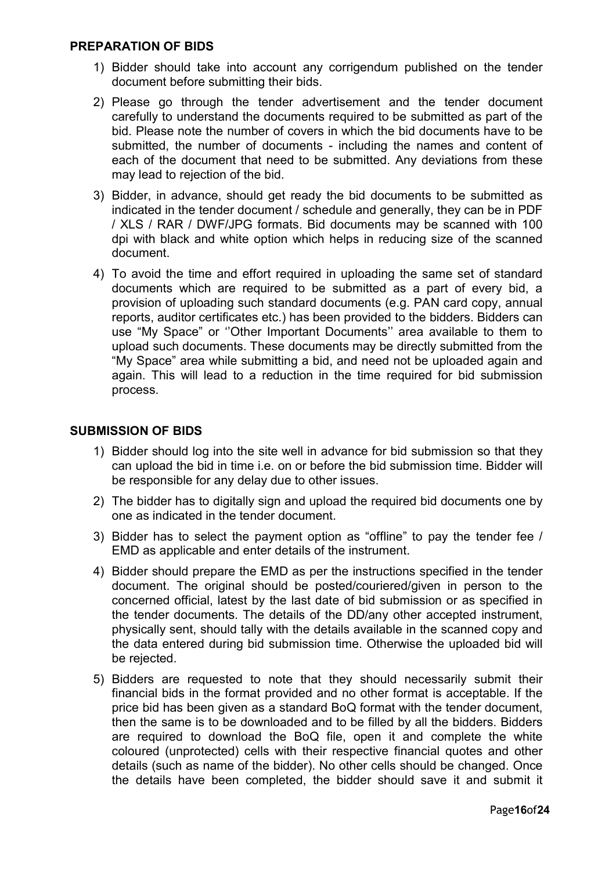#### PREPARATION OF BIDS

- 1) Bidder should take into account any corrigendum published on the tender document before submitting their bids.
- 2) Please go through the tender advertisement and the tender document carefully to understand the documents required to be submitted as part of the bid. Please note the number of covers in which the bid documents have to be submitted, the number of documents - including the names and content of each of the document that need to be submitted. Any deviations from these may lead to rejection of the bid.
- 3) Bidder, in advance, should get ready the bid documents to be submitted as indicated in the tender document / schedule and generally, they can be in PDF / XLS / RAR / DWF/JPG formats. Bid documents may be scanned with 100 dpi with black and white option which helps in reducing size of the scanned document.
- 4) To avoid the time and effort required in uploading the same set of standard documents which are required to be submitted as a part of every bid, a provision of uploading such standard documents (e.g. PAN card copy, annual reports, auditor certificates etc.) has been provided to the bidders. Bidders can use "My Space" or ''Other Important Documents'' area available to them to upload such documents. These documents may be directly submitted from the "My Space" area while submitting a bid, and need not be uploaded again and again. This will lead to a reduction in the time required for bid submission process.

#### SUBMISSION OF BIDS

- 1) Bidder should log into the site well in advance for bid submission so that they can upload the bid in time i.e. on or before the bid submission time. Bidder will be responsible for any delay due to other issues.
- 2) The bidder has to digitally sign and upload the required bid documents one by one as indicated in the tender document.
- 3) Bidder has to select the payment option as "offline" to pay the tender fee / EMD as applicable and enter details of the instrument.
- 4) Bidder should prepare the EMD as per the instructions specified in the tender document. The original should be posted/couriered/given in person to the concerned official, latest by the last date of bid submission or as specified in the tender documents. The details of the DD/any other accepted instrument, physically sent, should tally with the details available in the scanned copy and the data entered during bid submission time. Otherwise the uploaded bid will be rejected.
- 5) Bidders are requested to note that they should necessarily submit their financial bids in the format provided and no other format is acceptable. If the price bid has been given as a standard BoQ format with the tender document, then the same is to be downloaded and to be filled by all the bidders. Bidders are required to download the BoQ file, open it and complete the white coloured (unprotected) cells with their respective financial quotes and other details (such as name of the bidder). No other cells should be changed. Once the details have been completed, the bidder should save it and submit it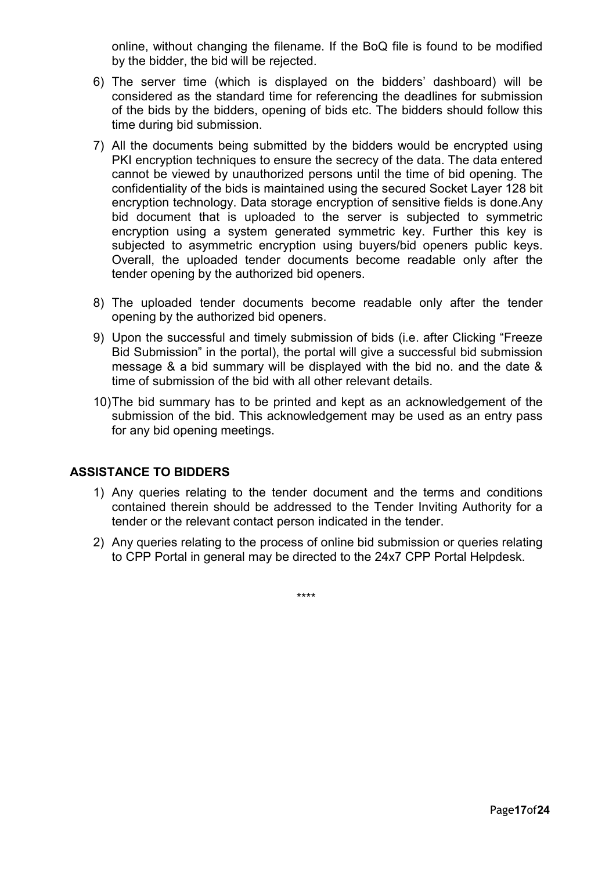online, without changing the filename. If the BoQ file is found to be modified by the bidder, the bid will be rejected.

- 6) The server time (which is displayed on the bidders' dashboard) will be considered as the standard time for referencing the deadlines for submission of the bids by the bidders, opening of bids etc. The bidders should follow this time during bid submission.
- 7) All the documents being submitted by the bidders would be encrypted using PKI encryption techniques to ensure the secrecy of the data. The data entered cannot be viewed by unauthorized persons until the time of bid opening. The confidentiality of the bids is maintained using the secured Socket Layer 128 bit encryption technology. Data storage encryption of sensitive fields is done.Any bid document that is uploaded to the server is subjected to symmetric encryption using a system generated symmetric key. Further this key is subjected to asymmetric encryption using buyers/bid openers public keys. Overall, the uploaded tender documents become readable only after the tender opening by the authorized bid openers.
- 8) The uploaded tender documents become readable only after the tender opening by the authorized bid openers.
- 9) Upon the successful and timely submission of bids (i.e. after Clicking "Freeze Bid Submission" in the portal), the portal will give a successful bid submission message & a bid summary will be displayed with the bid no. and the date & time of submission of the bid with all other relevant details.
- 10) The bid summary has to be printed and kept as an acknowledgement of the submission of the bid. This acknowledgement may be used as an entry pass for any bid opening meetings.

## ASSISTANCE TO BIDDERS

- 1) Any queries relating to the tender document and the terms and conditions contained therein should be addressed to the Tender Inviting Authority for a tender or the relevant contact person indicated in the tender.
- 2) Any queries relating to the process of online bid submission or queries relating to CPP Portal in general may be directed to the 24x7 CPP Portal Helpdesk.

\*\*\*\*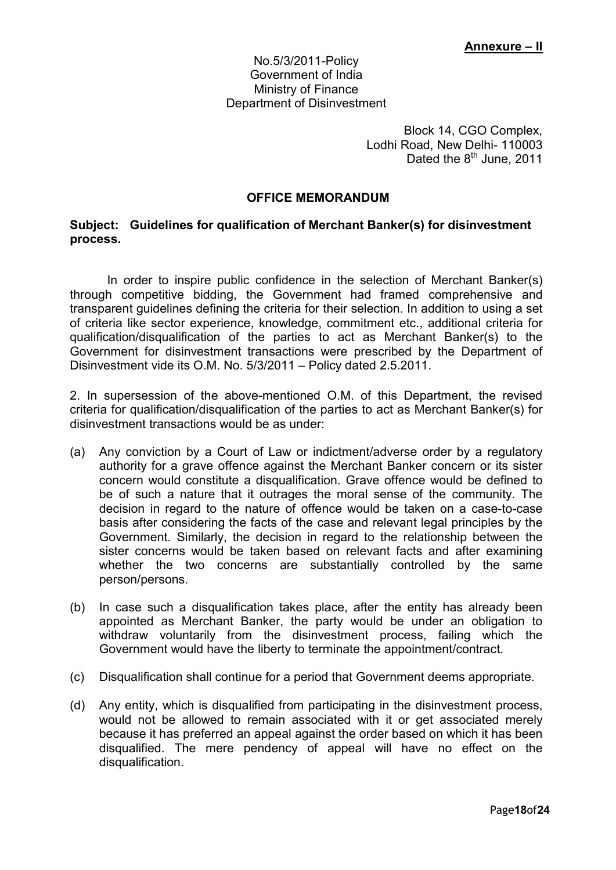#### No.5/3/2011-Policy Government of India Ministry of Finance Department of Disinvestment

Block 14, CGO Complex, Lodhi Road, New Delhi- 110003 Dated the  $8<sup>th</sup>$  June, 2011

## OFFICE MEMORANDUM

#### Subject: Guidelines for qualification of Merchant Banker(s) for disinvestment process.

In order to inspire public confidence in the selection of Merchant Banker(s) through competitive bidding, the Government had framed comprehensive and transparent guidelines defining the criteria for their selection. In addition to using a set of criteria like sector experience, knowledge, commitment etc., additional criteria for qualification/disqualification of the parties to act as Merchant Banker(s) to the Government for disinvestment transactions were prescribed by the Department of Disinvestment vide its O.M. No. 5/3/2011 – Policy dated 2.5.2011.

2. In supersession of the above-mentioned O.M. of this Department, the revised criteria for qualification/disqualification of the parties to act as Merchant Banker(s) for disinvestment transactions would be as under:

- (a) Any conviction by a Court of Law or indictment/adverse order by a regulatory authority for a grave offence against the Merchant Banker concern or its sister concern would constitute a disqualification. Grave offence would be defined to be of such a nature that it outrages the moral sense of the community. The decision in regard to the nature of offence would be taken on a case-to-case basis after considering the facts of the case and relevant legal principles by the Government. Similarly, the decision in regard to the relationship between the sister concerns would be taken based on relevant facts and after examining whether the two concerns are substantially controlled by the same person/persons.
- (b) In case such a disqualification takes place, after the entity has already been appointed as Merchant Banker, the party would be under an obligation to withdraw voluntarily from the disinvestment process, failing which the Government would have the liberty to terminate the appointment/contract.
- (c) Disqualification shall continue for a period that Government deems appropriate.
- (d) Any entity, which is disqualified from participating in the disinvestment process, would not be allowed to remain associated with it or get associated merely because it has preferred an appeal against the order based on which it has been disqualified. The mere pendency of appeal will have no effect on the disqualification.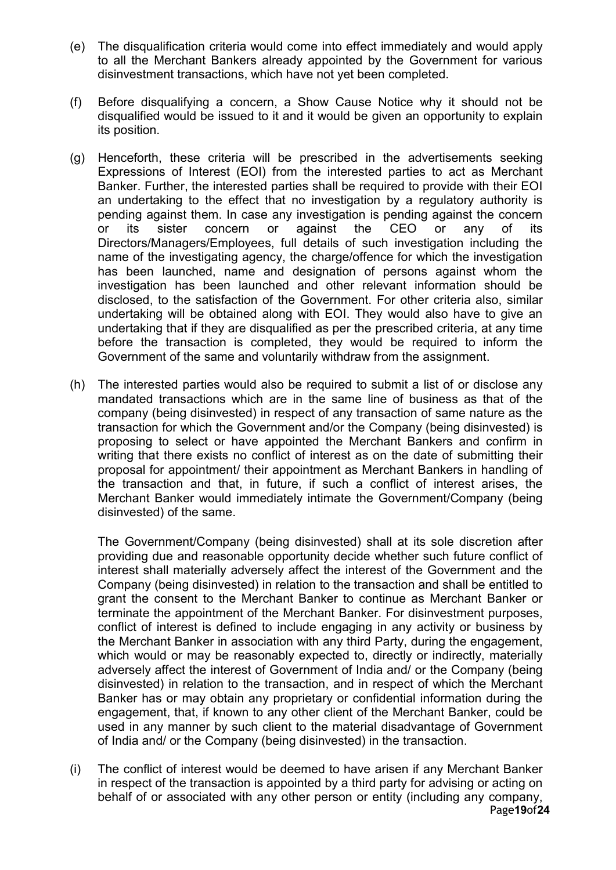- (e) The disqualification criteria would come into effect immediately and would apply to all the Merchant Bankers already appointed by the Government for various disinvestment transactions, which have not yet been completed.
- (f) Before disqualifying a concern, a Show Cause Notice why it should not be disqualified would be issued to it and it would be given an opportunity to explain its position.
- (g) Henceforth, these criteria will be prescribed in the advertisements seeking Expressions of Interest (EOI) from the interested parties to act as Merchant Banker. Further, the interested parties shall be required to provide with their EOI an undertaking to the effect that no investigation by a regulatory authority is pending against them. In case any investigation is pending against the concern or its sister concern or against the CEO or any of its Directors/Managers/Employees, full details of such investigation including the name of the investigating agency, the charge/offence for which the investigation has been launched, name and designation of persons against whom the investigation has been launched and other relevant information should be disclosed, to the satisfaction of the Government. For other criteria also, similar undertaking will be obtained along with EOI. They would also have to give an undertaking that if they are disqualified as per the prescribed criteria, at any time before the transaction is completed, they would be required to inform the Government of the same and voluntarily withdraw from the assignment.
- (h) The interested parties would also be required to submit a list of or disclose any mandated transactions which are in the same line of business as that of the company (being disinvested) in respect of any transaction of same nature as the transaction for which the Government and/or the Company (being disinvested) is proposing to select or have appointed the Merchant Bankers and confirm in writing that there exists no conflict of interest as on the date of submitting their proposal for appointment/ their appointment as Merchant Bankers in handling of the transaction and that, in future, if such a conflict of interest arises, the Merchant Banker would immediately intimate the Government/Company (being disinvested) of the same.

The Government/Company (being disinvested) shall at its sole discretion after providing due and reasonable opportunity decide whether such future conflict of interest shall materially adversely affect the interest of the Government and the Company (being disinvested) in relation to the transaction and shall be entitled to grant the consent to the Merchant Banker to continue as Merchant Banker or terminate the appointment of the Merchant Banker. For disinvestment purposes, conflict of interest is defined to include engaging in any activity or business by the Merchant Banker in association with any third Party, during the engagement, which would or may be reasonably expected to, directly or indirectly, materially adversely affect the interest of Government of India and/ or the Company (being disinvested) in relation to the transaction, and in respect of which the Merchant Banker has or may obtain any proprietary or confidential information during the engagement, that, if known to any other client of the Merchant Banker, could be used in any manner by such client to the material disadvantage of Government of India and/ or the Company (being disinvested) in the transaction.

Page19of24 (i) The conflict of interest would be deemed to have arisen if any Merchant Banker in respect of the transaction is appointed by a third party for advising or acting on behalf of or associated with any other person or entity (including any company,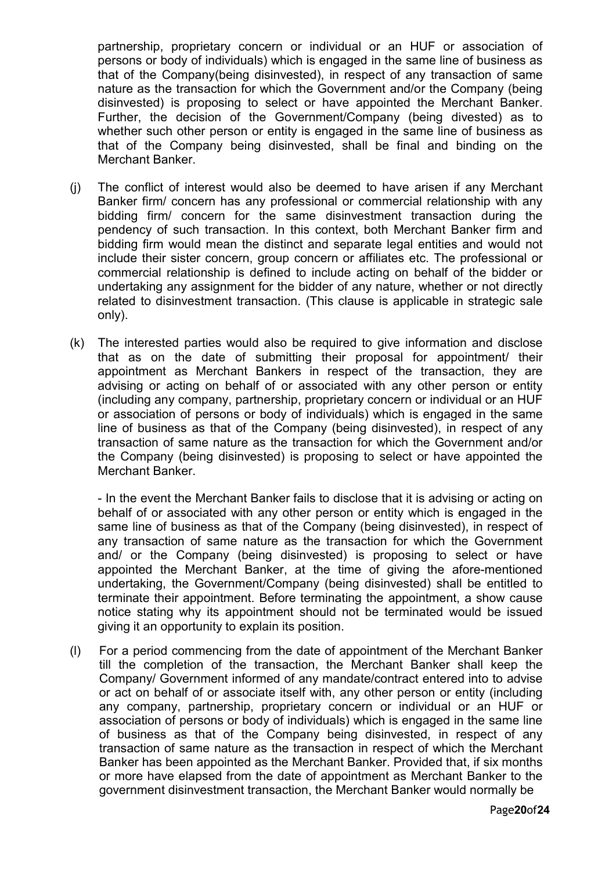partnership, proprietary concern or individual or an HUF or association of persons or body of individuals) which is engaged in the same line of business as that of the Company(being disinvested), in respect of any transaction of same nature as the transaction for which the Government and/or the Company (being disinvested) is proposing to select or have appointed the Merchant Banker. Further, the decision of the Government/Company (being divested) as to whether such other person or entity is engaged in the same line of business as that of the Company being disinvested, shall be final and binding on the Merchant Banker.

- (j) The conflict of interest would also be deemed to have arisen if any Merchant Banker firm/ concern has any professional or commercial relationship with any bidding firm/ concern for the same disinvestment transaction during the pendency of such transaction. In this context, both Merchant Banker firm and bidding firm would mean the distinct and separate legal entities and would not include their sister concern, group concern or affiliates etc. The professional or commercial relationship is defined to include acting on behalf of the bidder or undertaking any assignment for the bidder of any nature, whether or not directly related to disinvestment transaction. (This clause is applicable in strategic sale only).
- (k) The interested parties would also be required to give information and disclose that as on the date of submitting their proposal for appointment/ their appointment as Merchant Bankers in respect of the transaction, they are advising or acting on behalf of or associated with any other person or entity (including any company, partnership, proprietary concern or individual or an HUF or association of persons or body of individuals) which is engaged in the same line of business as that of the Company (being disinvested), in respect of any transaction of same nature as the transaction for which the Government and/or the Company (being disinvested) is proposing to select or have appointed the Merchant Banker.

- In the event the Merchant Banker fails to disclose that it is advising or acting on behalf of or associated with any other person or entity which is engaged in the same line of business as that of the Company (being disinvested), in respect of any transaction of same nature as the transaction for which the Government and/ or the Company (being disinvested) is proposing to select or have appointed the Merchant Banker, at the time of giving the afore-mentioned undertaking, the Government/Company (being disinvested) shall be entitled to terminate their appointment. Before terminating the appointment, a show cause notice stating why its appointment should not be terminated would be issued giving it an opportunity to explain its position.

(l) For a period commencing from the date of appointment of the Merchant Banker till the completion of the transaction, the Merchant Banker shall keep the Company/ Government informed of any mandate/contract entered into to advise or act on behalf of or associate itself with, any other person or entity (including any company, partnership, proprietary concern or individual or an HUF or association of persons or body of individuals) which is engaged in the same line of business as that of the Company being disinvested, in respect of any transaction of same nature as the transaction in respect of which the Merchant Banker has been appointed as the Merchant Banker. Provided that, if six months or more have elapsed from the date of appointment as Merchant Banker to the government disinvestment transaction, the Merchant Banker would normally be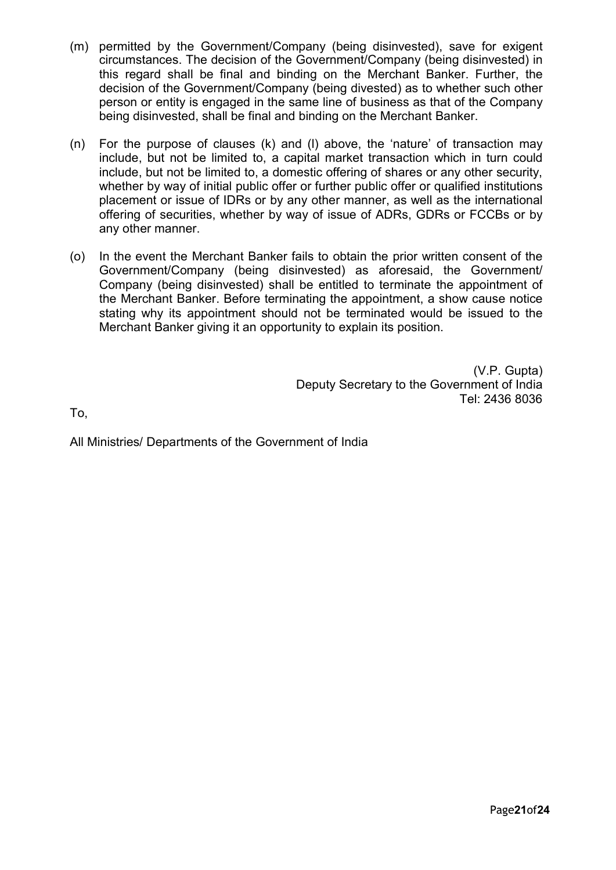- (m) permitted by the Government/Company (being disinvested), save for exigent circumstances. The decision of the Government/Company (being disinvested) in this regard shall be final and binding on the Merchant Banker. Further, the decision of the Government/Company (being divested) as to whether such other person or entity is engaged in the same line of business as that of the Company being disinvested, shall be final and binding on the Merchant Banker.
- (n) For the purpose of clauses (k) and (l) above, the 'nature' of transaction may include, but not be limited to, a capital market transaction which in turn could include, but not be limited to, a domestic offering of shares or any other security, whether by way of initial public offer or further public offer or qualified institutions placement or issue of IDRs or by any other manner, as well as the international offering of securities, whether by way of issue of ADRs, GDRs or FCCBs or by any other manner.
- (o) In the event the Merchant Banker fails to obtain the prior written consent of the Government/Company (being disinvested) as aforesaid, the Government/ Company (being disinvested) shall be entitled to terminate the appointment of the Merchant Banker. Before terminating the appointment, a show cause notice stating why its appointment should not be terminated would be issued to the Merchant Banker giving it an opportunity to explain its position.

(V.P. Gupta) Deputy Secretary to the Government of India Tel: 2436 8036

To,

All Ministries/ Departments of the Government of India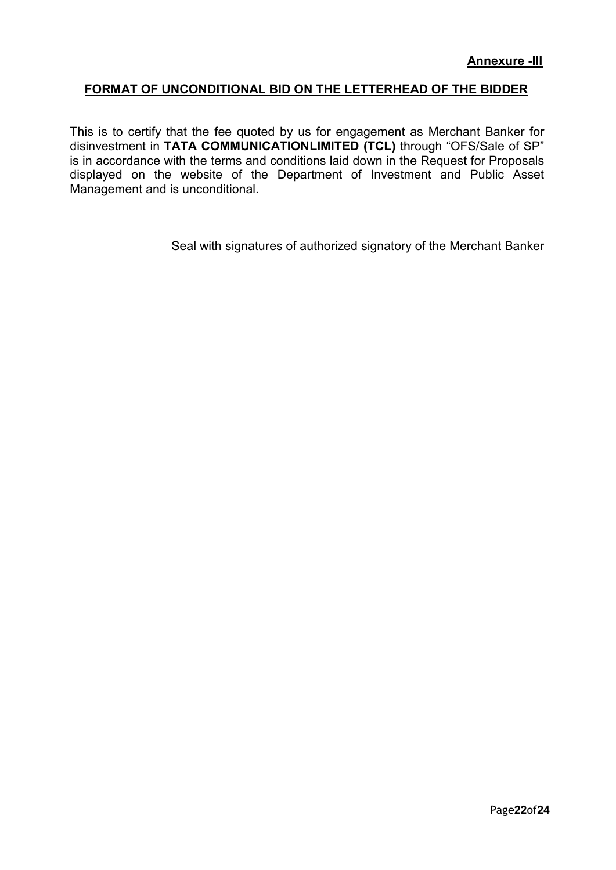## FORMAT OF UNCONDITIONAL BID ON THE LETTERHEAD OF THE BIDDER

This is to certify that the fee quoted by us for engagement as Merchant Banker for disinvestment in TATA COMMUNICATIONLIMITED (TCL) through "OFS/Sale of SP" is in accordance with the terms and conditions laid down in the Request for Proposals displayed on the website of the Department of Investment and Public Asset Management and is unconditional.

Seal with signatures of authorized signatory of the Merchant Banker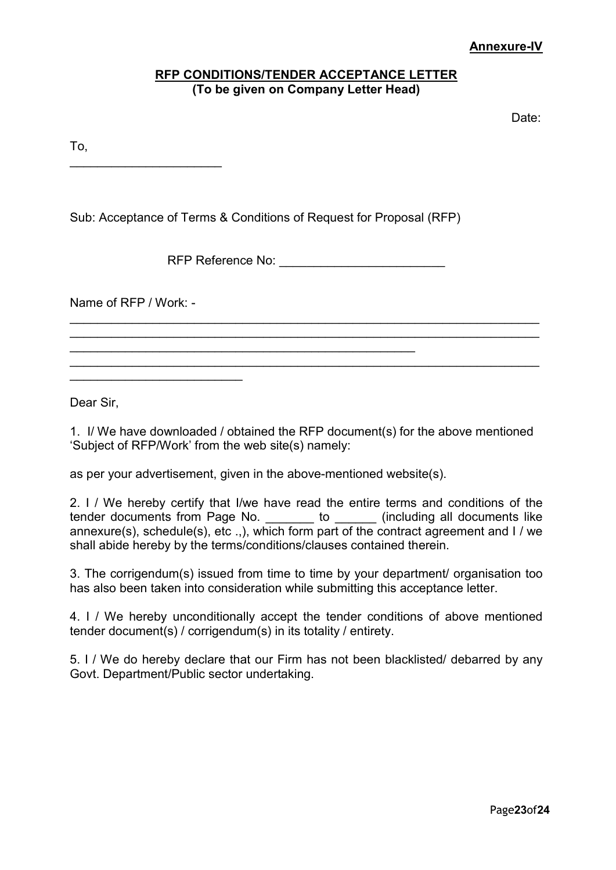## Annexure-IV

## RFP CONDITIONS/TENDER ACCEPTANCE LETTER (To be given on Company Letter Head)

de de la contradición de la contradición de la contradición de la contradición de la contradición de la contra

To,

 $\overline{\phantom{a}}$  , which is a set of the set of the set of the set of the set of the set of the set of the set of the set of the set of the set of the set of the set of the set of the set of the set of the set of the set of th

Sub: Acceptance of Terms & Conditions of Request for Proposal (RFP)

RFP Reference No: \_\_\_\_\_\_\_\_\_\_\_\_\_\_\_\_\_\_\_\_\_\_\_\_

 $\overline{\phantom{a}}$  , and the contribution of the contribution of the contribution of the contribution of the contribution of the contribution of the contribution of the contribution of the contribution of the contribution of the  $\overline{\phantom{a}}$  , and the contribution of the contribution of the contribution of the contribution of the contribution of the contribution of the contribution of the contribution of the contribution of the contribution of the

 $\mathcal{L}_\mathcal{L} = \mathcal{L}_\mathcal{L} = \mathcal{L}_\mathcal{L} = \mathcal{L}_\mathcal{L} = \mathcal{L}_\mathcal{L} = \mathcal{L}_\mathcal{L} = \mathcal{L}_\mathcal{L} = \mathcal{L}_\mathcal{L} = \mathcal{L}_\mathcal{L} = \mathcal{L}_\mathcal{L} = \mathcal{L}_\mathcal{L} = \mathcal{L}_\mathcal{L} = \mathcal{L}_\mathcal{L} = \mathcal{L}_\mathcal{L} = \mathcal{L}_\mathcal{L} = \mathcal{L}_\mathcal{L} = \mathcal{L}_\mathcal{L}$ 

Name of RFP / Work: -

\_\_\_\_\_\_\_\_\_\_\_\_\_\_\_\_\_\_\_\_\_\_\_\_\_

Dear Sir,

1. I/ We have downloaded / obtained the RFP document(s) for the above mentioned 'Subject of RFP/Work' from the web site(s) namely:

as per your advertisement, given in the above-mentioned website(s).

 $\mathcal{L}_\text{max}$  , and the contract of the contract of the contract of the contract of the contract of the contract of the contract of the contract of the contract of the contract of the contract of the contract of the contr

2. I / We hereby certify that I/we have read the entire terms and conditions of the tender documents from Page No. \_\_\_\_\_\_\_ to \_\_\_\_\_\_ (including all documents like annexure(s), schedule(s), etc .,), which form part of the contract agreement and I / we shall abide hereby by the terms/conditions/clauses contained therein.

3. The corrigendum(s) issued from time to time by your department/ organisation too has also been taken into consideration while submitting this acceptance letter.

4. I / We hereby unconditionally accept the tender conditions of above mentioned tender document(s) / corrigendum(s) in its totality / entirety.

5. I / We do hereby declare that our Firm has not been blacklisted/ debarred by any Govt. Department/Public sector undertaking.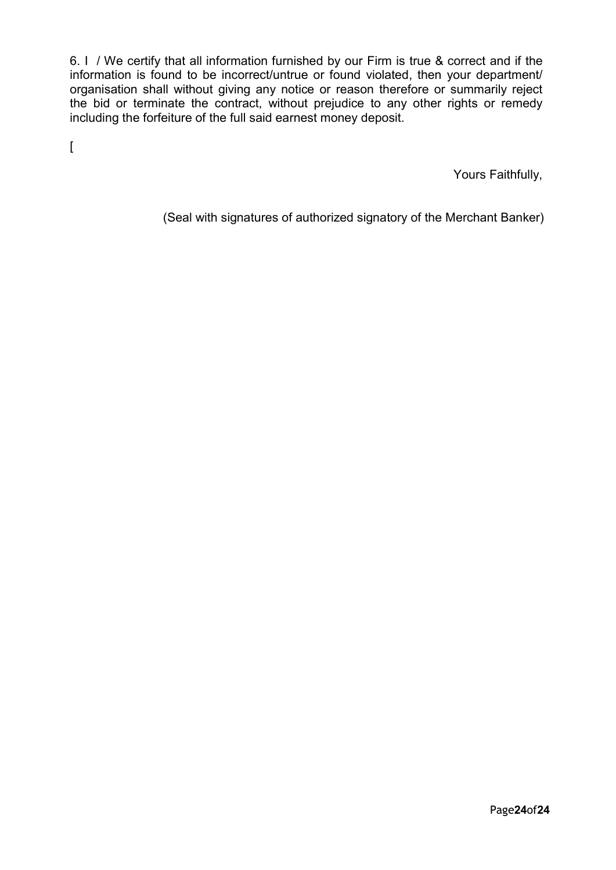6. I / We certify that all information furnished by our Firm is true & correct and if the information is found to be incorrect/untrue or found violated, then your department/ organisation shall without giving any notice or reason therefore or summarily reject the bid or terminate the contract, without prejudice to any other rights or remedy including the forfeiture of the full said earnest money deposit.

 $\overline{[}$ 

Yours Faithfully,

(Seal with signatures of authorized signatory of the Merchant Banker)